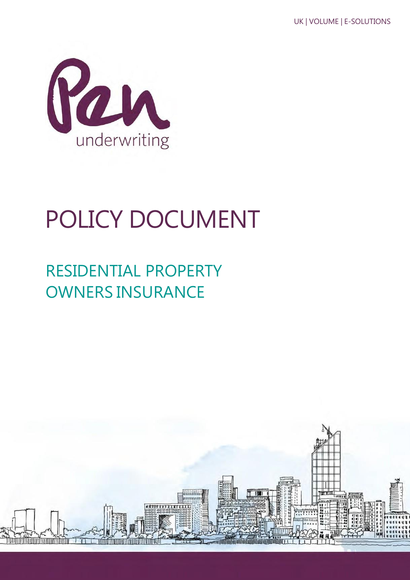

# POLICY DOCUMENT

## RESIDENTIAL PROPERTY OWNERS INSURANCE

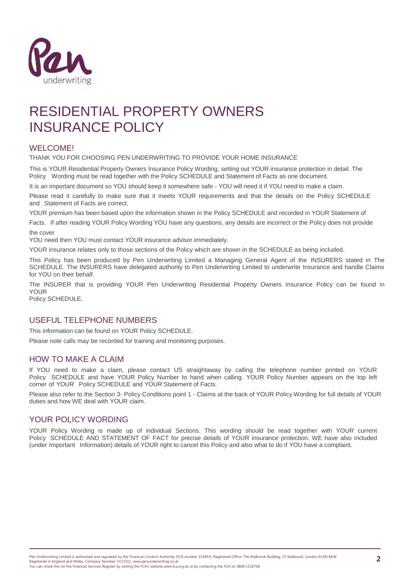

## RESIDENTIAL PROPERTY OWNERS INSURANCE POLICY

### WELCOME!

THANK YOU FOR CHOOSING PEN UNDERWRITING TO PROVIDE YOUR HOME INSURANCE

This is YOUR Residential Property Owners Insurance Policy Wording, setting out YOUR insurance protection in detail. The Policy Wording must be read together with the Policy SCHEDULE and Statement of Facts as one document.

It is an important document so YOU should keep it somewhere safe - YOU will need it if YOU need to make a claim.

Please read it carefully to make sure that it meets YOUR requirements and that the details on the Policy SCHEDULE and Statement of Facts are correct.

YOUR premium has been based upon the information shown in the Policy SCHEDULE and recorded in YOUR Statement of

Facts. If after reading YOUR Policy Wording YOU have any questions, any details are incorrect or the Policy does not provide the cover

YOU need then YOU must contact YOUR insurance advisor immediately.

YOUR insurance relates only to those sections of the Policy which are shown in the SCHEDULE as being included.

This Policy has been produced by Pen Underwriting Limited a Managing General Agent of the INSURERS stated in The SCHEDULE. The INSURERS have delegated authority to Pen Underwriting Limited to underwrite Insurance and handle Claims for YOU on their behalf.

The INSURER that is providing YOUR Pen Underwriting Residential Property Owners Insurance Policy can be found in YOUR

Policy SCHEDULE.

#### USEFUL TELEPHONE NUMBERS

This information can be found on YOUR Policy SCHEDULE.

Please note calls may be recorded for training and monitoring purposes.

### HOW TO MAKE A CLAIM

If YOU need to make a claim, please contact US straightaway by calling the telephone number printed on YOUR Policy SCHEDULE and have YOUR Policy Number to hand when calling. YOUR Policy Number appears on the top left corner of YOUR Policy SCHEDULE and YOUR Statement of Facts.

Please also refer to the Section 3- Policy Conditions point 1 - Claims at the back of YOUR Policy Wording for full details of YOUR duties and how WE deal with YOUR claim.

#### YOUR POLICY WORDING

YOUR Policy Wording is made up of individual Sections. This wording should be read together with YOUR current Policy SCHEDULE AND STATEMENT OF FACT for precise details of YOUR insurance protection. WE have also included (under Important Information) details of YOUR right to cancel this Policy and also what to do if YOU have a complaint.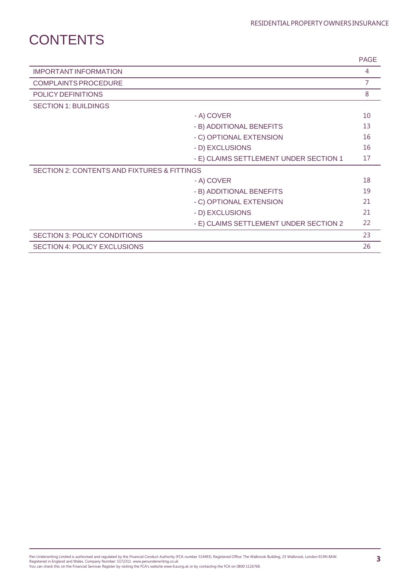## **CONTENTS**

|                                                        |                                        | <b>PAGE</b>    |
|--------------------------------------------------------|----------------------------------------|----------------|
| <b>IMPORTANT INFORMATION</b>                           |                                        | 4              |
| <b>COMPLAINTS PROCEDURE</b>                            |                                        | $\overline{7}$ |
| POLICY DEFINITIONS                                     |                                        | 8              |
| <b>SECTION 1: BUILDINGS</b>                            |                                        |                |
|                                                        | - A) COVER                             | 10             |
|                                                        | - B) ADDITIONAL BENEFITS               | 13             |
|                                                        | - C) OPTIONAL EXTENSION                | 16             |
|                                                        | - D) EXCLUSIONS                        | 16             |
|                                                        | - E) CLAIMS SETTLEMENT UNDER SECTION 1 | 17             |
| <b>SECTION 2: CONTENTS AND FIXTURES &amp; FITTINGS</b> |                                        |                |
|                                                        | - A) COVER                             | 18             |
|                                                        | - B) ADDITIONAL BENEFITS               | 19             |
|                                                        | - C) OPTIONAL EXTENSION                | 21             |
|                                                        | - D) EXCLUSIONS                        | 21             |
|                                                        | - E) CLAIMS SETTLEMENT UNDER SECTION 2 | 22             |
| <b>SECTION 3: POLICY CONDITIONS</b>                    |                                        | 23             |
| <b>SECTION 4: POLICY EXCLUSIONS</b>                    |                                        | 26             |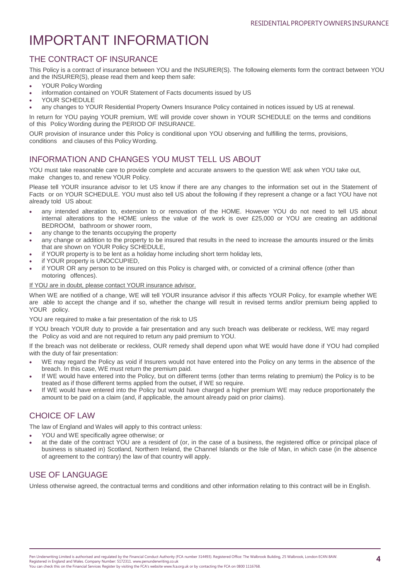## IMPORTANT INFORMATION

## THE CONTRACT OF INSURANCE

This Policy is a contract of insurance between YOU and the INSURER(S). The following elements form the contract between YOU and the INSURER(S), please read them and keep them safe:

- YOUR Policy Wording
- information contained on YOUR Statement of Facts documents issued by US
- YOUR SCHEDULE
- any changes to YOUR Residential Property Owners Insurance Policy contained in notices issued by US at renewal.

In return for YOU paying YOUR premium, WE will provide cover shown in YOUR SCHEDULE on the terms and conditions of this Policy Wording during the PERIOD OF INSURANCE.

OUR provision of insurance under this Policy is conditional upon YOU observing and fulfilling the terms, provisions, conditions and clauses of this Policy Wording.

## INFORMATION AND CHANGES YOU MUST TELL US ABOUT

YOU must take reasonable care to provide complete and accurate answers to the question WE ask when YOU take out, make changes to, and renew YOUR Policy.

Please tell YOUR insurance advisor to let US know if there are any changes to the information set out in the Statement of Facts or on YOUR SCHEDULE. YOU must also tell US about the following if they represent a change or a fact YOU have not already told US about:

- any intended alteration to, extension to or renovation of the HOME. However YOU do not need to tell US about internal alterations to the HOME unless the value of the work is over £25,000 or YOU are creating an additional BEDROOM, bathroom or shower room,
- any change to the tenants occupying the property
- any change or addition to the property to be insured that results in the need to increase the amounts insured or the limits that are shown on YOUR Policy SCHEDULE,
- if YOUR property is to be lent as a holiday home including short term holiday lets,
- if YOUR property is UNOCCUPIED,
- if YOUR OR any person to be insured on this Policy is charged with, or convicted of a criminal offence (other than motoring offences).

#### If YOU are in doubt, please contact YOUR insurance advisor.

When WE are notified of a change, WE will tell YOUR insurance advisor if this affects YOUR Policy, for example whether WE are able to accept the change and if so, whether the change will result in revised terms and/or premium being applied to YOUR policy.

YOU are required to make a fair presentation of the risk to US

If YOU breach YOUR duty to provide a fair presentation and any such breach was deliberate or reckless, WE may regard the Policy as void and are not required to return any paid premium to YOU.

If the breach was not deliberate or reckless, OUR remedy shall depend upon what WE would have done if YOU had complied with the duty of fair presentation:

- WE may regard the Policy as void if Insurers would not have entered into the Policy on any terms in the absence of the breach. In this case, WE must return the premium paid.
- If WE would have entered into the Policy, but on different terms (other than terms relating to premium) the Policy is to be treated as if those different terms applied from the outset, if WE so require.
- If WE would have entered into the Policy but would have charged a higher premium WE may reduce proportionately the amount to be paid on a claim (and, if applicable, the amount already paid on prior claims).

## CHOICE OF LAW

The law of England and Wales will apply to this contract unless:

- YOU and WE specifically agree otherwise; or
- at the date of the contract YOU are a resident of (or, in the case of a business, the registered office or principal place of business is situated in) Scotland, Northern Ireland, the Channel Islands or the Isle of Man, in which case (in the absence of agreement to the contrary) the law of that country will apply.

## USE OF LANGUAGE

Unless otherwise agreed, the contractual terms and conditions and other information relating to this contract will be in English.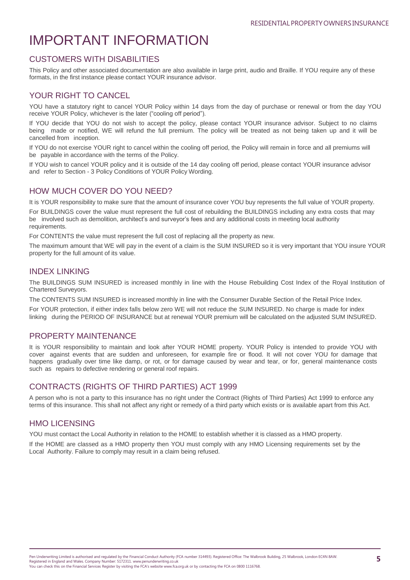## IMPORTANT INFORMATION

## CUSTOMERS WITH DISABILITIES

This Policy and other associated documentation are also available in large print, audio and Braille. If YOU require any of these formats, in the first instance please contact YOUR insurance advisor.

## YOUR RIGHT TO CANCEL

YOU have a statutory right to cancel YOUR Policy within 14 days from the day of purchase or renewal or from the day YOU receive YOUR Policy, whichever is the later ("cooling off period").

If YOU decide that YOU do not wish to accept the policy, please contact YOUR insurance advisor. Subject to no claims being made or notified, WE will refund the full premium. The policy will be treated as not being taken up and it will be cancelled from inception.

If YOU do not exercise YOUR right to cancel within the cooling off period, the Policy will remain in force and all premiums will be payable in accordance with the terms of the Policy.

If YOU wish to cancel YOUR policy and it is outside of the 14 day cooling off period, please contact YOUR insurance advisor and refer to Section - 3 Policy Conditions of YOUR Policy Wording.

## HOW MUCH COVER DO YOU NEED?

It is YOUR responsibility to make sure that the amount of insurance cover YOU buy represents the full value of YOUR property.

For BUILDINGS cover the value must represent the full cost of rebuilding the BUILDINGS including any extra costs that may be involved such as demolition, architect's and surveyor's fees and any additional costs in meeting local authority requirements

For CONTENTS the value must represent the full cost of replacing all the property as new.

The maximum amount that WE will pay in the event of a claim is the SUM INSURED so it is very important that YOU insure YOUR property for the full amount of its value.

#### INDEX LINKING

The BUILDINGS SUM INSURED is increased monthly in line with the House Rebuilding Cost Index of the Royal Institution of Chartered Surveyors.

The CONTENTS SUM INSURED is increased monthly in line with the Consumer Durable Section of the Retail Price Index.

For YOUR protection, if either index falls below zero WE will not reduce the SUM INSURED. No charge is made for index linking during the PERIOD OF INSURANCE but at renewal YOUR premium will be calculated on the adjusted SUM INSURED.

### PROPERTY MAINTENANCE

It is YOUR responsibility to maintain and look after YOUR HOME property. YOUR Policy is intended to provide YOU with cover against events that are sudden and unforeseen, for example fire or flood. It will not cover YOU for damage that happens gradually over time like damp, or rot, or for damage caused by wear and tear, or for, general maintenance costs such as repairs to defective rendering or general roof repairs.

### CONTRACTS (RIGHTS OF THIRD PARTIES) ACT 1999

A person who is not a party to this insurance has no right under the Contract (Rights of Third Parties) Act 1999 to enforce any terms of this insurance. This shall not affect any right or remedy of a third party which exists or is available apart from this Act.

### HMO LICENSING

YOU must contact the Local Authority in relation to the HOME to establish whether it is classed as a HMO property.

If the HOME are classed as a HMO property then YOU must comply with any HMO Licensing requirements set by the Local Authority. Failure to comply may result in a claim being refused.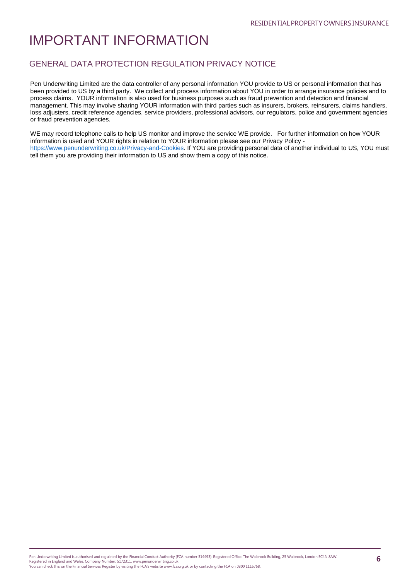## IMPORTANT INFORMATION

### GENERAL DATA PROTECTION REGULATION PRIVACY NOTICE

Pen Underwriting Limited are the data controller of any personal information YOU provide to US or personal information that has been provided to US by a third party. We collect and process information about YOU in order to arrange insurance policies and to process claims. YOUR information is also used for business purposes such as fraud prevention and detection and financial management. This may involve sharing YOUR information with third parties such as insurers, brokers, reinsurers, claims handlers, loss adjusters, credit reference agencies, service providers, professional advisors, our regulators, police and government agencies or fraud prevention agencies.

WE may record telephone calls to help US monitor and improve the service WE provide. For further information on how YOUR information is used and YOUR rights in relation to YOUR information please see our Privacy Policy [https://www.penunderwriting.co.uk/Privacy-and-Cookies.](https://www.penunderwriting.co.uk/Privacy-and-Cookies) If YOU are providing personal data of another individual to US, YOU must tell them you are providing their information to US and show them a copy of this notice.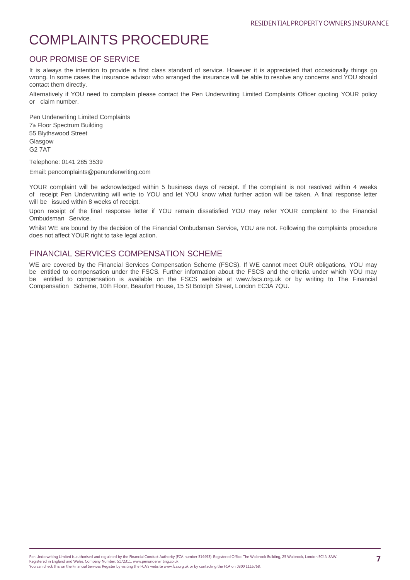## COMPLAINTS PROCEDURE

## OUR PROMISE OF SERVICE

It is always the intention to provide a first class standard of service. However it is appreciated that occasionally things go wrong. In some cases the insurance advisor who arranged the insurance will be able to resolve any concerns and YOU should contact them directly.

Alternatively if YOU need to complain please contact the Pen Underwriting Limited Complaints Officer quoting YOUR policy or claim number.

Pen Underwriting Limited Complaints 7th Floor Spectrum Building 55 Blythswood Street Glasgow G2 7AT

Telephone: 0141 285 3539

Email: [pencomplaints@penunderwriting.com](mailto:pencomplaints@penunderwriting.com)

YOUR complaint will be acknowledged within 5 business days of receipt. If the complaint is not resolved within 4 weeks of receipt Pen Underwriting will write to YOU and let YOU know what further action will be taken. A final response letter will be issued within 8 weeks of receipt.

Upon receipt of the final response letter if YOU remain dissatisfied YOU may refer YOUR complaint to the Financial Ombudsman Service.

Whilst WE are bound by the decision of the Financial Ombudsman Service, YOU are not. Following the complaints procedure does not affect YOUR right to take legal action.

### FINANCIAL SERVICES COMPENSATION SCHEME

WE are covered by the Financial Services Compensation Scheme (FSCS). If WE cannot meet OUR obligations, YOU may be entitled to compensation under the FSCS. Further information about the FSCS and the criteria under which YOU may be entitled to compensation is available on the FSCS website at [www.fscs.org.uk](http://www.fscs.org.uk/) or by writing to The Financial Compensation Scheme, 10th Floor, Beaufort House, 15 St Botolph Street, London EC3A 7QU.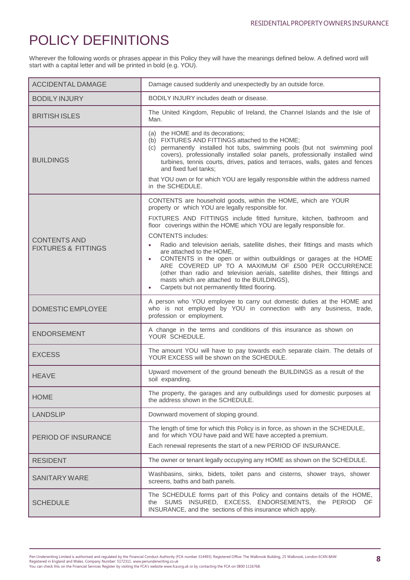## POLICY DEFINITIONS

Wherever the following words or phrases appear in this Policy they will have the meanings defined below. A defined word will start with a capital letter and will be printed in bold (e.g. YOU).

| <b>ACCIDENTAL DAMAGE</b>                              | Damage caused suddenly and unexpectedly by an outside force.                                                                                                                                                                                                                                                                                                                                                                                                                                                                                                                                                          |
|-------------------------------------------------------|-----------------------------------------------------------------------------------------------------------------------------------------------------------------------------------------------------------------------------------------------------------------------------------------------------------------------------------------------------------------------------------------------------------------------------------------------------------------------------------------------------------------------------------------------------------------------------------------------------------------------|
| <b>BODILY INJURY</b>                                  | BODILY INJURY includes death or disease.                                                                                                                                                                                                                                                                                                                                                                                                                                                                                                                                                                              |
| <b>BRITISH ISLES</b>                                  | The United Kingdom, Republic of Ireland, the Channel Islands and the Isle of<br>Man.                                                                                                                                                                                                                                                                                                                                                                                                                                                                                                                                  |
| <b>BUILDINGS</b>                                      | (a) the HOME and its decorations;<br>(b) FIXTURES AND FITTINGS attached to the HOME;<br>(c) permanently installed hot tubs, swimming pools (but not swimming pool<br>covers), professionally installed solar panels, professionally installed wind<br>turbines, tennis courts, drives, patios and terraces, walls, gates and fences<br>and fixed fuel tanks;                                                                                                                                                                                                                                                          |
|                                                       | that YOU own or for which YOU are legally responsible within the address named<br>in the SCHEDULE.                                                                                                                                                                                                                                                                                                                                                                                                                                                                                                                    |
|                                                       | CONTENTS are household goods, within the HOME, which are YOUR<br>property or which YOU are legally responsible for.                                                                                                                                                                                                                                                                                                                                                                                                                                                                                                   |
| <b>CONTENTS AND</b><br><b>FIXTURES &amp; FITTINGS</b> | FIXTURES AND FITTINGS include fitted furniture, kitchen, bathroom and<br>floor coverings within the HOME which YOU are legally responsible for.<br><b>CONTENTS</b> includes:<br>Radio and television aerials, satellite dishes, their fittings and masts which<br>$\bullet$<br>are attached to the HOME,<br>CONTENTS in the open or within outbuildings or garages at the HOME<br>ARE COVERED UP TO A MAXIMUM OF £500 PER OCCURRENCE<br>(other than radio and television aerials, satellite dishes, their fittings and<br>masts which are attached to the BUILDINGS),<br>Carpets but not permanently fitted flooring. |
| <b>DOMESTIC EMPLOYEE</b>                              | A person who YOU employee to carry out domestic duties at the HOME and<br>who is not employed by YOU in connection with any business, trade,<br>profession or employment.                                                                                                                                                                                                                                                                                                                                                                                                                                             |
| <b>ENDORSEMENT</b>                                    | A change in the terms and conditions of this insurance as shown on<br>YOUR SCHEDULE.                                                                                                                                                                                                                                                                                                                                                                                                                                                                                                                                  |
| <b>EXCESS</b>                                         | The amount YOU will have to pay towards each separate claim. The details of<br>YOUR EXCESS will be shown on the SCHEDULE.                                                                                                                                                                                                                                                                                                                                                                                                                                                                                             |
| <b>HEAVE</b>                                          | Upward movement of the ground beneath the BUILDINGS as a result of the<br>soil expanding.                                                                                                                                                                                                                                                                                                                                                                                                                                                                                                                             |
| <b>HOME</b>                                           | The property, the garages and any outbuildings used for domestic purposes at<br>the address shown in the SCHEDULE.                                                                                                                                                                                                                                                                                                                                                                                                                                                                                                    |
| <b>LANDSLIP</b>                                       | Downward movement of sloping ground.                                                                                                                                                                                                                                                                                                                                                                                                                                                                                                                                                                                  |
| <b>PERIOD OF INSURANCE</b>                            | The length of time for which this Policy is in force, as shown in the SCHEDULE,<br>and for which YOU have paid and WE have accepted a premium.<br>Each renewal represents the start of a new PERIOD OF INSURANCE.                                                                                                                                                                                                                                                                                                                                                                                                     |
| <b>RESIDENT</b>                                       | The owner or tenant legally occupying any HOME as shown on the SCHEDULE.                                                                                                                                                                                                                                                                                                                                                                                                                                                                                                                                              |
| SANITARY WARE                                         | Washbasins, sinks, bidets, toilet pans and cisterns, shower trays, shower<br>screens, baths and bath panels.                                                                                                                                                                                                                                                                                                                                                                                                                                                                                                          |
| <b>SCHEDULE</b>                                       | The SCHEDULE forms part of this Policy and contains details of the HOME,<br>the SUMS INSURED, EXCESS, ENDORSEMENTS, the PERIOD OF<br>INSURANCE, and the sections of this insurance which apply.                                                                                                                                                                                                                                                                                                                                                                                                                       |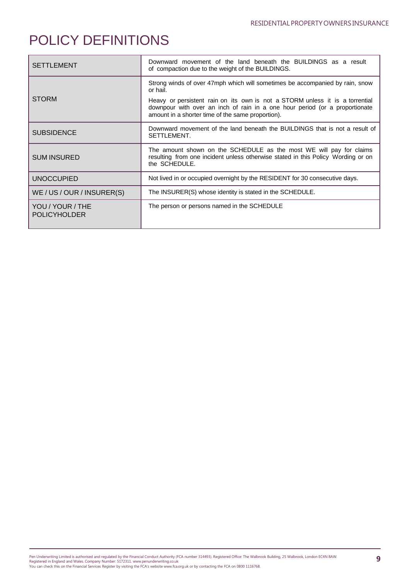## POLICY DEFINITIONS

| <b>SETTLEMENT</b>                       | Downward movement of the land beneath the BUILDINGS as a result<br>of compaction due to the weight of the BUILDINGS.                                                                                                                                                                                         |
|-----------------------------------------|--------------------------------------------------------------------------------------------------------------------------------------------------------------------------------------------------------------------------------------------------------------------------------------------------------------|
| <b>STORM</b>                            | Strong winds of over 47mph which will sometimes be accompanied by rain, snow<br>or hail.<br>Heavy or persistent rain on its own is not a STORM unless it is a torrential<br>downpour with over an inch of rain in a one hour period (or a proportionate<br>amount in a shorter time of the same proportion). |
| <b>SUBSIDENCE</b>                       | Downward movement of the land beneath the BUILDINGS that is not a result of<br>SETTLEMENT.                                                                                                                                                                                                                   |
| <b>SUM INSURED</b>                      | The amount shown on the SCHEDULE as the most WE will pay for claims<br>resulting from one incident unless otherwise stated in this Policy Wording or on<br>the SCHEDULE.                                                                                                                                     |
| <b>UNOCCUPIED</b>                       | Not lived in or occupied overnight by the RESIDENT for 30 consecutive days.                                                                                                                                                                                                                                  |
| WE/US/OUR/INSURER(S)                    | The INSURER(S) whose identity is stated in the SCHEDULE.                                                                                                                                                                                                                                                     |
| YOU / YOUR / THE<br><b>POLICYHOLDER</b> | The person or persons named in the SCHEDULE                                                                                                                                                                                                                                                                  |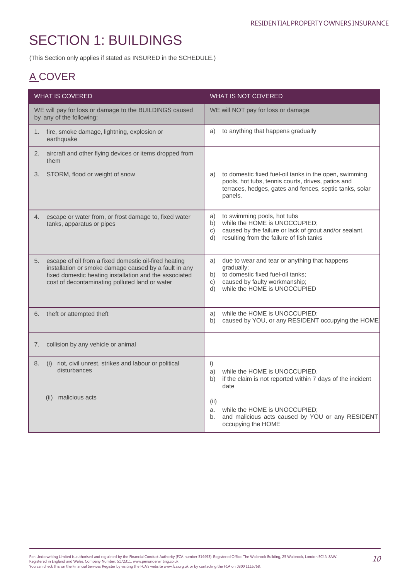(This Section only applies if stated as INSURED in the SCHEDULE.)

## A COVER

| <b>WHAT IS COVERED</b>                                                                                                                                                                                                           | <b>WHAT IS NOT COVERED</b>                                                                                                                                                                 |
|----------------------------------------------------------------------------------------------------------------------------------------------------------------------------------------------------------------------------------|--------------------------------------------------------------------------------------------------------------------------------------------------------------------------------------------|
| WE will pay for loss or damage to the BUILDINGS caused<br>by any of the following:                                                                                                                                               | WE will NOT pay for loss or damage:                                                                                                                                                        |
| fire, smoke damage, lightning, explosion or<br>1.<br>earthquake                                                                                                                                                                  | to anything that happens gradually<br>a)                                                                                                                                                   |
| aircraft and other flying devices or items dropped from<br>2.<br>them                                                                                                                                                            |                                                                                                                                                                                            |
| STORM, flood or weight of snow<br>3.                                                                                                                                                                                             | to domestic fixed fuel-oil tanks in the open, swimming<br>a)<br>pools, hot tubs, tennis courts, drives, patios and<br>terraces, hedges, gates and fences, septic tanks, solar<br>panels.   |
| escape or water from, or frost damage to, fixed water<br>4.<br>tanks, apparatus or pipes                                                                                                                                         | to swimming pools, hot tubs<br>a)<br>while the HOME is UNOCCUPIED;<br>b)<br>caused by the failure or lack of grout and/or sealant.<br>c)<br>resulting from the failure of fish tanks<br>d) |
| escape of oil from a fixed domestic oil-fired heating<br>5.<br>installation or smoke damage caused by a fault in any<br>fixed domestic heating installation and the associated<br>cost of decontaminating polluted land or water | due to wear and tear or anything that happens<br>a)<br>gradually;<br>to domestic fixed fuel-oil tanks;<br>b)<br>caused by faulty workmanship;<br>C)<br>while the HOME is UNOCCUPIED<br>d)  |
| theft or attempted theft<br>6.                                                                                                                                                                                                   | while the HOME is UNOCCUPIED;<br>a)<br>caused by YOU, or any RESIDENT occupying the HOME<br>b)                                                                                             |
| collision by any vehicle or animal<br>7.                                                                                                                                                                                         |                                                                                                                                                                                            |
| riot, civil unrest, strikes and labour or political<br>(i)<br>8.<br>disturbances                                                                                                                                                 | i)<br>while the HOME is UNOCCUPIED.<br>a)<br>if the claim is not reported within 7 days of the incident<br>b)<br>date                                                                      |
| malicious acts<br>(ii)                                                                                                                                                                                                           | (ii)<br>while the HOME is UNOCCUPIED;<br>a.<br>and malicious acts caused by YOU or any RESIDENT<br>b.<br>occupying the HOME                                                                |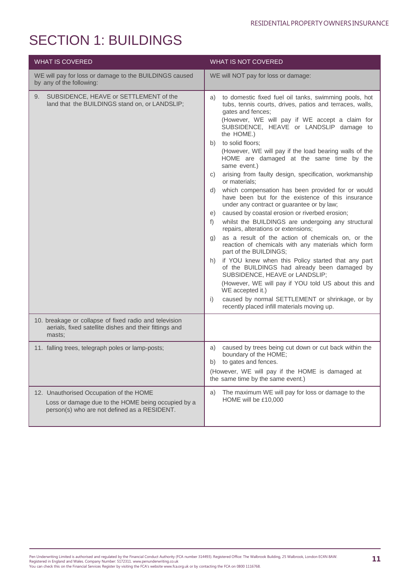| <b>WHAT IS COVERED</b>                                                                                                                        | <b>WHAT IS NOT COVERED</b>                                                                                                                                                                                                                                                                                                                                                                                                                                                                                                                                                                                                                                                                                                                                                                                                                                                                                                                                                                                                                                                                                                                                                                                                                                                                  |
|-----------------------------------------------------------------------------------------------------------------------------------------------|---------------------------------------------------------------------------------------------------------------------------------------------------------------------------------------------------------------------------------------------------------------------------------------------------------------------------------------------------------------------------------------------------------------------------------------------------------------------------------------------------------------------------------------------------------------------------------------------------------------------------------------------------------------------------------------------------------------------------------------------------------------------------------------------------------------------------------------------------------------------------------------------------------------------------------------------------------------------------------------------------------------------------------------------------------------------------------------------------------------------------------------------------------------------------------------------------------------------------------------------------------------------------------------------|
| WE will pay for loss or damage to the BUILDINGS caused<br>by any of the following:                                                            | WE will NOT pay for loss or damage:                                                                                                                                                                                                                                                                                                                                                                                                                                                                                                                                                                                                                                                                                                                                                                                                                                                                                                                                                                                                                                                                                                                                                                                                                                                         |
| SUBSIDENCE, HEAVE or SETTLEMENT of the<br>9.<br>land that the BUILDINGS stand on, or LANDSLIP;                                                | to domestic fixed fuel oil tanks, swimming pools, hot<br>a)<br>tubs, tennis courts, drives, patios and terraces, walls,<br>gates and fences;<br>(However, WE will pay if WE accept a claim for<br>SUBSIDENCE, HEAVE or LANDSLIP damage to<br>the HOME.)<br>b) to solid floors;<br>(However, WE will pay if the load bearing walls of the<br>HOME are damaged at the same time by the<br>same event.)<br>arising from faulty design, specification, workmanship<br>C)<br>or materials;<br>which compensation has been provided for or would<br>d)<br>have been but for the existence of this insurance<br>under any contract or guarantee or by law;<br>caused by coastal erosion or riverbed erosion;<br>e)<br>whilst the BUILDINGS are undergoing any structural<br>f)<br>repairs, alterations or extensions;<br>as a result of the action of chemicals on, or the<br>g)<br>reaction of chemicals with any materials which form<br>part of the BUILDINGS;<br>if YOU knew when this Policy started that any part<br>h)<br>of the BUILDINGS had already been damaged by<br>SUBSIDENCE, HEAVE or LANDSLIP;<br>(However, WE will pay if YOU told US about this and<br>WE accepted it.)<br>caused by normal SETTLEMENT or shrinkage, or by<br>i)<br>recently placed infill materials moving up. |
| 10. breakage or collapse of fixed radio and television<br>aerials, fixed satellite dishes and their fittings and<br>masts;                    |                                                                                                                                                                                                                                                                                                                                                                                                                                                                                                                                                                                                                                                                                                                                                                                                                                                                                                                                                                                                                                                                                                                                                                                                                                                                                             |
| 11. falling trees, telegraph poles or lamp-posts;                                                                                             | caused by trees being cut down or cut back within the<br>a)<br>boundary of the HOME;<br>to gates and fences.<br>b)<br>(However, WE will pay if the HOME is damaged at<br>the same time by the same event.)                                                                                                                                                                                                                                                                                                                                                                                                                                                                                                                                                                                                                                                                                                                                                                                                                                                                                                                                                                                                                                                                                  |
| 12. Unauthorised Occupation of the HOME<br>Loss or damage due to the HOME being occupied by a<br>person(s) who are not defined as a RESIDENT. | The maximum WE will pay for loss or damage to the<br>a)<br>HOME will be £10,000                                                                                                                                                                                                                                                                                                                                                                                                                                                                                                                                                                                                                                                                                                                                                                                                                                                                                                                                                                                                                                                                                                                                                                                                             |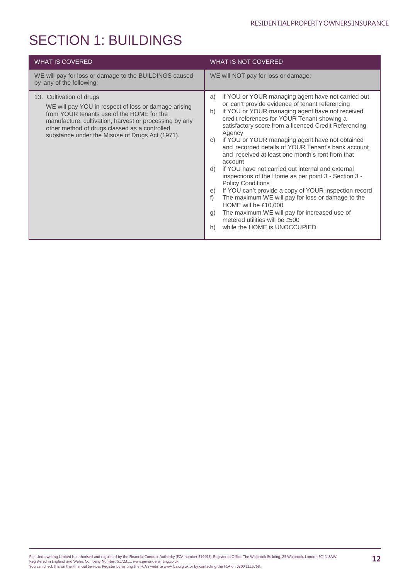| <b>WHAT IS COVERED</b>                                                                                                                                                                                                                                                                      | <b>WHAT IS NOT COVERED</b>                                                                                                                                                                                                                                                                                                                                                                                                                                                                                                                                                                                                                                                                                                                                                                                                                                                                         |
|---------------------------------------------------------------------------------------------------------------------------------------------------------------------------------------------------------------------------------------------------------------------------------------------|----------------------------------------------------------------------------------------------------------------------------------------------------------------------------------------------------------------------------------------------------------------------------------------------------------------------------------------------------------------------------------------------------------------------------------------------------------------------------------------------------------------------------------------------------------------------------------------------------------------------------------------------------------------------------------------------------------------------------------------------------------------------------------------------------------------------------------------------------------------------------------------------------|
| WE will pay for loss or damage to the BUILDINGS caused<br>by any of the following:                                                                                                                                                                                                          | WE will NOT pay for loss or damage:                                                                                                                                                                                                                                                                                                                                                                                                                                                                                                                                                                                                                                                                                                                                                                                                                                                                |
| 13. Cultivation of drugs<br>WE will pay YOU in respect of loss or damage arising<br>from YOUR tenants use of the HOME for the<br>manufacture, cultivation, harvest or processing by any<br>other method of drugs classed as a controlled<br>substance under the Misuse of Drugs Act (1971). | if YOU or YOUR managing agent have not carried out<br>a)<br>or can't provide evidence of tenant referencing<br>if YOU or YOUR managing agent have not received<br>b)<br>credit references for YOUR Tenant showing a<br>satisfactory score from a licenced Credit Referencing<br>Agency<br>if YOU or YOUR managing agent have not obtained<br>C)<br>and recorded details of YOUR Tenant's bank account<br>and received at least one month's rent from that<br>account<br>if YOU have not carried out internal and external<br>d)<br>inspections of the Home as per point 3 - Section 3 -<br><b>Policy Conditions</b><br>If YOU can't provide a copy of YOUR inspection record<br>e)<br>The maximum WE will pay for loss or damage to the<br>f<br>HOME will be £10,000<br>The maximum WE will pay for increased use of<br>g)<br>metered utilities will be £500<br>while the HOME is UNOCCUPIED<br>h) |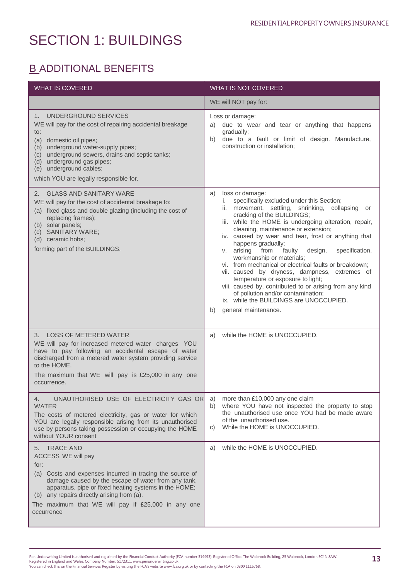## **B\_ADDITIONAL BENEFITS**

| <b>WHAT IS COVERED</b>                                                                                                                                                                                                                                                                                                                             | <b>WHAT IS NOT COVERED</b>                                                                                                                                                                                                                                                                                                                                                                                                                                                                                                                                                                                                                                                                                                                                   |
|----------------------------------------------------------------------------------------------------------------------------------------------------------------------------------------------------------------------------------------------------------------------------------------------------------------------------------------------------|--------------------------------------------------------------------------------------------------------------------------------------------------------------------------------------------------------------------------------------------------------------------------------------------------------------------------------------------------------------------------------------------------------------------------------------------------------------------------------------------------------------------------------------------------------------------------------------------------------------------------------------------------------------------------------------------------------------------------------------------------------------|
|                                                                                                                                                                                                                                                                                                                                                    | WE will NOT pay for:                                                                                                                                                                                                                                                                                                                                                                                                                                                                                                                                                                                                                                                                                                                                         |
| UNDERGROUND SERVICES<br>1.<br>WE will pay for the cost of repairing accidental breakage<br>to:<br>domestic oil pipes;<br>(a)<br>(b) underground water-supply pipes;<br>underground sewers, drains and septic tanks;<br>(c)<br>(d) underground gas pipes;<br>(e) underground cables;<br>which YOU are legally responsible for.                      | Loss or damage:<br>a) due to wear and tear or anything that happens<br>gradually;<br>due to a fault or limit of design. Manufacture,<br>b)<br>construction or installation:                                                                                                                                                                                                                                                                                                                                                                                                                                                                                                                                                                                  |
| <b>GLASS AND SANITARY WARE</b><br>2.<br>WE will pay for the cost of accidental breakage to:<br>(a) fixed glass and double glazing (including the cost of<br>replacing frames);<br>(b) solar panels;<br>(c) SANITARY WARE;<br>(d) ceramic hobs;<br>forming part of the BUILDINGS.                                                                   | a)<br>loss or damage:<br>specifically excluded under this Section;<br>i.<br>movement, settling, shrinking, collapsing or<br>ii.<br>cracking of the BUILDINGS;<br>iii. while the HOME is undergoing alteration, repair,<br>cleaning, maintenance or extension;<br>iv. caused by wear and tear, frost or anything that<br>happens gradually;<br>v. arising from<br>faulty<br>design,<br>specification,<br>workmanship or materials;<br>vi. from mechanical or electrical faults or breakdown;<br>vii. caused by dryness, dampness, extremes of<br>temperature or exposure to light;<br>viii. caused by, contributed to or arising from any kind<br>of pollution and/or contamination;<br>ix. while the BUILDINGS are UNOCCUPIED.<br>general maintenance.<br>b) |
| 3. LOSS OF METERED WATER<br>WE will pay for increased metered water charges YOU<br>have to pay following an accidental escape of water<br>discharged from a metered water system providing service<br>to the HOME.<br>The maximum that WE will pay is £25,000 in any one<br>occurrence.                                                            | while the HOME is UNOCCUPIED.<br>a)                                                                                                                                                                                                                                                                                                                                                                                                                                                                                                                                                                                                                                                                                                                          |
| UNAUTHORISED USE OF ELECTRICITY GAS OR<br>4.<br><b>WATER</b><br>The costs of metered electricity, gas or water for which<br>YOU are legally responsible arising from its unauthorised<br>use by persons taking possession or occupying the HOME<br>without YOUR consent                                                                            | more than £10,000 any one claim<br>a)<br>where YOU have not inspected the property to stop<br>b)<br>the unauthorised use once YOU had be made aware<br>of the unauthorised use.<br>While the HOME is UNOCCUPIED.<br>C)                                                                                                                                                                                                                                                                                                                                                                                                                                                                                                                                       |
| <b>TRACE AND</b><br>5.<br>ACCESS WE will pay<br>for:<br>(a) Costs and expenses incurred in tracing the source of<br>damage caused by the escape of water from any tank,<br>apparatus, pipe or fixed heating systems in the HOME;<br>(b) any repairs directly arising from (a).<br>The maximum that WE will pay if £25,000 in any one<br>occurrence | while the HOME is UNOCCUPIED.<br>a)                                                                                                                                                                                                                                                                                                                                                                                                                                                                                                                                                                                                                                                                                                                          |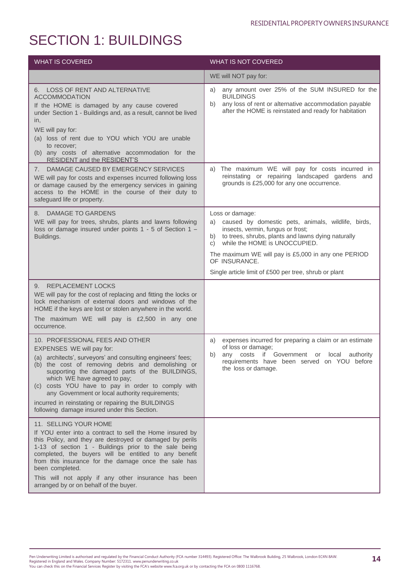| <b>WHAT IS COVERED</b>                                                                                                                                                                                                                                                                                                                                                                                                                                                            | WHAT IS NOT COVERED                                                                                                                                                                                                                                                                                                                                  |
|-----------------------------------------------------------------------------------------------------------------------------------------------------------------------------------------------------------------------------------------------------------------------------------------------------------------------------------------------------------------------------------------------------------------------------------------------------------------------------------|------------------------------------------------------------------------------------------------------------------------------------------------------------------------------------------------------------------------------------------------------------------------------------------------------------------------------------------------------|
|                                                                                                                                                                                                                                                                                                                                                                                                                                                                                   | WE will NOT pay for:                                                                                                                                                                                                                                                                                                                                 |
| 6. LOSS OF RENT AND ALTERNATIVE<br><b>ACCOMMODATION</b><br>If the HOME is damaged by any cause covered<br>under Section 1 - Buildings and, as a result, cannot be lived<br>in,<br>WE will pay for:<br>(a) loss of rent due to YOU which YOU are unable<br>to recover;<br>(b) any costs of alternative accommodation for the<br><b>RESIDENT and the RESIDENT'S</b>                                                                                                                 | any amount over 25% of the SUM INSURED for the<br>a)<br><b>BUILDINGS</b><br>any loss of rent or alternative accommodation payable<br>b)<br>after the HOME is reinstated and ready for habitation                                                                                                                                                     |
| DAMAGE CAUSED BY EMERGENCY SERVICES<br>7.<br>WE will pay for costs and expenses incurred following loss<br>or damage caused by the emergency services in gaining<br>access to the HOME in the course of their duty to<br>safeguard life or property.                                                                                                                                                                                                                              | The maximum WE will pay for costs incurred in<br>a)<br>reinstating or repairing landscaped gardens and<br>grounds is £25,000 for any one occurrence.                                                                                                                                                                                                 |
| 8. DAMAGE TO GARDENS<br>WE will pay for trees, shrubs, plants and lawns following<br>loss or damage insured under points 1 - 5 of Section 1 -<br>Buildings.                                                                                                                                                                                                                                                                                                                       | Loss or damage:<br>caused by domestic pets, animals, wildlife, birds,<br>a)<br>insects, vermin, fungus or frost;<br>to trees, shrubs, plants and lawns dying naturally<br>b)<br>while the HOME is UNOCCUPIED.<br>C)<br>The maximum WE will pay is £5,000 in any one PERIOD<br>OF INSURANCE.<br>Single article limit of £500 per tree, shrub or plant |
| 9. REPLACEMENT LOCKS<br>WE will pay for the cost of replacing and fitting the locks or<br>lock mechanism of external doors and windows of the<br>HOME if the keys are lost or stolen anywhere in the world.<br>The maximum $WE$ will pay is $£2,500$ in any one<br>occurrence.                                                                                                                                                                                                    |                                                                                                                                                                                                                                                                                                                                                      |
| 10. PROFESSIONAL FEES AND OTHER<br>EXPENSES WE will pay for:<br>(a) architects', surveyors' and consulting engineers' fees;<br>(b) the cost of removing debris and demolishing or<br>supporting the damaged parts of the BUILDINGS,<br>which WE have agreed to pay;<br>(c) costs YOU have to pay in order to comply with<br>any Government or local authority requirements;<br>incurred in reinstating or repairing the BUILDINGS<br>following damage insured under this Section. | expenses incurred for preparing a claim or an estimate<br>a)<br>of loss or damage;<br>if Government or local<br>any costs<br>authority<br>b)<br>requirements have been served on YOU before<br>the loss or damage.                                                                                                                                   |
| 11. SELLING YOUR HOME<br>If YOU enter into a contract to sell the Home insured by<br>this Policy, and they are destroyed or damaged by perils<br>1-13 of section 1 - Buildings prior to the sale being<br>completed, the buyers will be entitled to any benefit<br>from this insurance for the damage once the sale has<br>been completed.<br>This will not apply if any other insurance has been<br>arranged by or on behalf of the buyer.                                       |                                                                                                                                                                                                                                                                                                                                                      |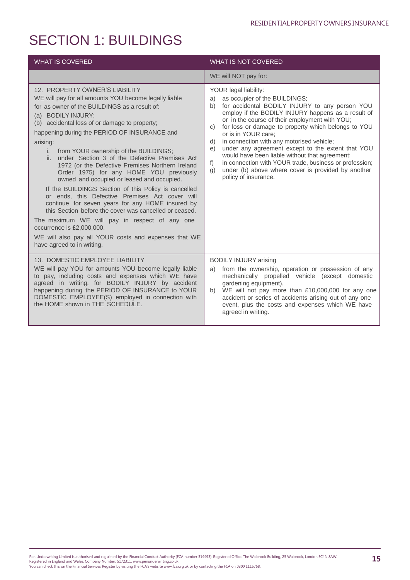| <b>WHAT IS COVERED</b>                                                                                                                                                                                                                                                                                                                                                                                                                                                                                                                                                                                                                                                                                                                                                                                                                                                                                                    | <b>WHAT IS NOT COVERED</b>                                                                                                                                                                                                                                                                                                                                                                                                                                                                                                                                                                                                          |
|---------------------------------------------------------------------------------------------------------------------------------------------------------------------------------------------------------------------------------------------------------------------------------------------------------------------------------------------------------------------------------------------------------------------------------------------------------------------------------------------------------------------------------------------------------------------------------------------------------------------------------------------------------------------------------------------------------------------------------------------------------------------------------------------------------------------------------------------------------------------------------------------------------------------------|-------------------------------------------------------------------------------------------------------------------------------------------------------------------------------------------------------------------------------------------------------------------------------------------------------------------------------------------------------------------------------------------------------------------------------------------------------------------------------------------------------------------------------------------------------------------------------------------------------------------------------------|
|                                                                                                                                                                                                                                                                                                                                                                                                                                                                                                                                                                                                                                                                                                                                                                                                                                                                                                                           | WE will NOT pay for:                                                                                                                                                                                                                                                                                                                                                                                                                                                                                                                                                                                                                |
| 12. PROPERTY OWNER'S LIABILITY<br>WE will pay for all amounts YOU become legally liable<br>for as owner of the BUILDINGS as a result of:<br>(a) BODILY INJURY;<br>(b) accidental loss of or damage to property;<br>happening during the PERIOD OF INSURANCE and<br>arising:<br>from YOUR ownership of the BUILDINGS;<br>i.<br>ii. under Section 3 of the Defective Premises Act<br>1972 (or the Defective Premises Northern Ireland<br>Order 1975) for any HOME YOU previously<br>owned and occupied or leased and occupied.<br>If the BUILDINGS Section of this Policy is cancelled<br>or ends, this Defective Premises Act cover will<br>continue for seven years for any HOME insured by<br>this Section before the cover was cancelled or ceased.<br>The maximum WE will pay in respect of any one<br>occurrence is £2,000,000.<br>WE will also pay all YOUR costs and expenses that WE<br>have agreed to in writing. | YOUR legal liability:<br>as occupier of the BUILDINGS;<br>a)<br>for accidental BODILY INJURY to any person YOU<br>b)<br>employ if the BODILY INJURY happens as a result of<br>or in the course of their employment with YOU;<br>for loss or damage to property which belongs to YOU<br>C)<br>or is in YOUR care;<br>in connection with any motorised vehicle;<br>d)<br>under any agreement except to the extent that YOU<br>e)<br>would have been liable without that agreement;<br>in connection with YOUR trade, business or profession;<br>f<br>under (b) above where cover is provided by another<br>g)<br>policy of insurance. |
| 13. DOMESTIC EMPLOYEE LIABILITY<br>WE will pay YOU for amounts YOU become legally liable<br>to pay, including costs and expenses which WE have<br>agreed in writing, for BODILY INJURY by accident<br>happening during the PERIOD OF INSURANCE to YOUR<br>DOMESTIC EMPLOYEE(S) employed in connection with<br>the HOME shown in THE SCHEDULE.                                                                                                                                                                                                                                                                                                                                                                                                                                                                                                                                                                             | <b>BODILY INJURY arising</b><br>from the ownership, operation or possession of any<br>a)<br>mechanically propelled vehicle (except domestic<br>gardening equipment).<br>WE will not pay more than £10,000,000 for any one<br>b)<br>accident or series of accidents arising out of any one<br>event, plus the costs and expenses which WE have<br>agreed in writing.                                                                                                                                                                                                                                                                 |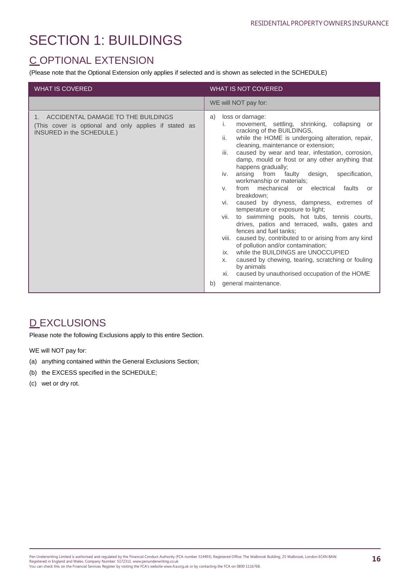## C OPTIONAL EXTENSION

(Please note that the Optional Extension only applies if selected and is shown as selected in the SCHEDULE)

| <b>WHAT IS COVERED</b>                                                                                                      | <b>WHAT IS NOT COVERED</b>                                                                                                                                                                                                                                                                                                                                                                                                                                                                                                                                                                                                                                                                                                                                                                                                                                                                                                                                                                                                                      |
|-----------------------------------------------------------------------------------------------------------------------------|-------------------------------------------------------------------------------------------------------------------------------------------------------------------------------------------------------------------------------------------------------------------------------------------------------------------------------------------------------------------------------------------------------------------------------------------------------------------------------------------------------------------------------------------------------------------------------------------------------------------------------------------------------------------------------------------------------------------------------------------------------------------------------------------------------------------------------------------------------------------------------------------------------------------------------------------------------------------------------------------------------------------------------------------------|
|                                                                                                                             | WE will NOT pay for:                                                                                                                                                                                                                                                                                                                                                                                                                                                                                                                                                                                                                                                                                                                                                                                                                                                                                                                                                                                                                            |
| 1. ACCIDENTAL DAMAGE TO THE BUILDINGS<br>(This cover is optional and only applies if stated as<br>INSURED in the SCHEDULE.) | loss or damage:<br>a)<br>movement, settling, shrinking, collapsing or<br>i.<br>cracking of the BUILDINGS,<br>while the HOME is undergoing alteration, repair,<br>ii.<br>cleaning, maintenance or extension;<br>caused by wear and tear, infestation, corrosion,<br>iii.<br>damp, mould or frost or any other anything that<br>happens gradually;<br>arising from faulty design,<br>specification,<br>iv.<br>workmanship or materials;<br>from mechanical or electrical<br>faults<br>V.<br>or<br>breakdown:<br>caused by dryness, dampness, extremes of<br>vi.<br>temperature or exposure to light;<br>to swimming pools, hot tubs, tennis courts,<br>vii.<br>drives, patios and terraced, walls, gates and<br>fences and fuel tanks;<br>viii. caused by, contributed to or arising from any kind<br>of pollution and/or contamination;<br>while the BUILDINGS are UNOCCUPIED<br>ix.<br>caused by chewing, tearing, scratching or fouling<br>X.<br>by animals<br>xi. caused by unauthorised occupation of the HOME<br>general maintenance.<br>b) |

## **D EXCLUSIONS**

Please note the following Exclusions apply to this entire Section.

WE will NOT pay for:

- (a) anything contained within the General Exclusions Section;
- (b) the EXCESS specified in the SCHEDULE;
- (c) wet or dry rot.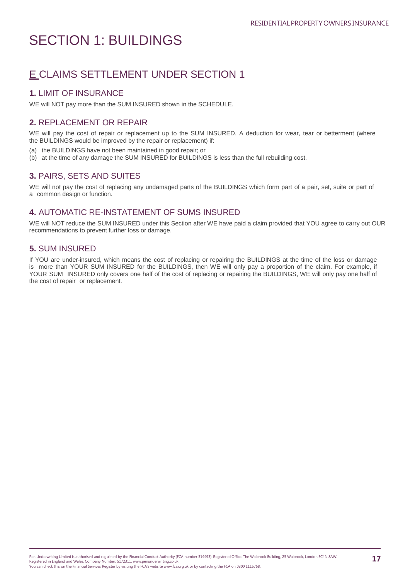## E CLAIMS SETTLEMENT UNDER SECTION 1

## **1.** LIMIT OF INSURANCE

WE will NOT pay more than the SUM INSURED shown in the SCHEDULE.

### **2.** REPLACEMENT OR REPAIR

WE will pay the cost of repair or replacement up to the SUM INSURED. A deduction for wear, tear or betterment (where the BUILDINGS would be improved by the repair or replacement) if:

- (a) the BUILDINGS have not been maintained in good repair; or
- (b) at the time of any damage the SUM INSURED for BUILDINGS is less than the full rebuilding cost.

## **3.** PAIRS, SETS AND SUITES

WE will not pay the cost of replacing any undamaged parts of the BUILDINGS which form part of a pair, set, suite or part of a common design or function.

## **4.** AUTOMATIC RE-INSTATEMENT OF SUMS INSURED

WE will NOT reduce the SUM INSURED under this Section after WE have paid a claim provided that YOU agree to carry out OUR recommendations to prevent further loss or damage.

### **5.** SUM INSURED

If YOU are under-insured, which means the cost of replacing or repairing the BUILDINGS at the time of the loss or damage is more than YOUR SUM INSURED for the BUILDINGS, then WE will only pay a proportion of the claim. For example, if YOUR SUM INSURED only covers one half of the cost of replacing or repairing the BUILDINGS, WE will only pay one half of the cost of repair or replacement.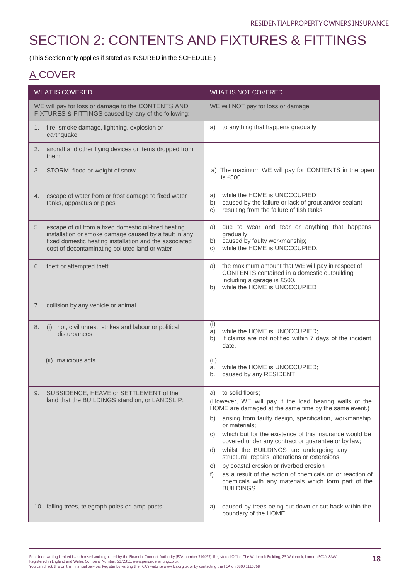(This Section only applies if stated as INSURED in the SCHEDULE.)

## A COVER

| <b>WHAT IS COVERED</b>                                                                                                                                                                                                           | <b>WHAT IS NOT COVERED</b>                                                                                                                                                                                                                                                                                                                                                                                                                                                                                                                                                                                                                     |
|----------------------------------------------------------------------------------------------------------------------------------------------------------------------------------------------------------------------------------|------------------------------------------------------------------------------------------------------------------------------------------------------------------------------------------------------------------------------------------------------------------------------------------------------------------------------------------------------------------------------------------------------------------------------------------------------------------------------------------------------------------------------------------------------------------------------------------------------------------------------------------------|
| WE will pay for loss or damage to the CONTENTS AND<br>FIXTURES & FITTINGS caused by any of the following:                                                                                                                        | WE will NOT pay for loss or damage:                                                                                                                                                                                                                                                                                                                                                                                                                                                                                                                                                                                                            |
| fire, smoke damage, lightning, explosion or<br>1.<br>earthquake                                                                                                                                                                  | to anything that happens gradually<br>a)                                                                                                                                                                                                                                                                                                                                                                                                                                                                                                                                                                                                       |
| aircraft and other flying devices or items dropped from<br>2.<br>them                                                                                                                                                            |                                                                                                                                                                                                                                                                                                                                                                                                                                                                                                                                                                                                                                                |
| STORM, flood or weight of snow<br>3.                                                                                                                                                                                             | a) The maximum WE will pay for CONTENTS in the open<br>is £500                                                                                                                                                                                                                                                                                                                                                                                                                                                                                                                                                                                 |
| escape of water from or frost damage to fixed water<br>4.<br>tanks, apparatus or pipes                                                                                                                                           | while the HOME is UNOCCUPIED<br>a)<br>caused by the failure or lack of grout and/or sealant<br>b)<br>resulting from the failure of fish tanks<br>c)                                                                                                                                                                                                                                                                                                                                                                                                                                                                                            |
| escape of oil from a fixed domestic oil-fired heating<br>5.<br>installation or smoke damage caused by a fault in any<br>fixed domestic heating installation and the associated<br>cost of decontaminating polluted land or water | due to wear and tear or anything that happens<br>a)<br>gradually;<br>caused by faulty workmanship;<br>b)<br>while the HOME is UNOCCUPIED.<br>C)                                                                                                                                                                                                                                                                                                                                                                                                                                                                                                |
| theft or attempted theft<br>6.                                                                                                                                                                                                   | the maximum amount that WE will pay in respect of<br>a)<br>CONTENTS contained in a domestic outbuilding<br>including a garage is £500.<br>while the HOME is UNOCCUPIED<br>b)                                                                                                                                                                                                                                                                                                                                                                                                                                                                   |
| collision by any vehicle or animal<br>7.                                                                                                                                                                                         |                                                                                                                                                                                                                                                                                                                                                                                                                                                                                                                                                                                                                                                |
| riot, civil unrest, strikes and labour or political<br>8.<br>(i)<br>disturbances                                                                                                                                                 | (i)<br>while the HOME is UNOCCUPIED;<br>a)<br>if claims are not notified within 7 days of the incident<br>b)<br>date.                                                                                                                                                                                                                                                                                                                                                                                                                                                                                                                          |
| (ii) malicious acts                                                                                                                                                                                                              | (ii)<br>while the HOME is UNOCCUPIED;<br>a.<br>caused by any RESIDENT<br>b.                                                                                                                                                                                                                                                                                                                                                                                                                                                                                                                                                                    |
| SUBSIDENCE, HEAVE or SETTLEMENT of the<br>9.<br>land that the BUILDINGS stand on, or LANDSLIP;                                                                                                                                   | a) to solid floors;<br>(However, WE will pay if the load bearing walls of the<br>HOME are damaged at the same time by the same event.)<br>arising from faulty design, specification, workmanship<br>b)<br>or materials;<br>which but for the existence of this insurance would be<br>C)<br>covered under any contract or guarantee or by law;<br>whilst the BUILDINGS are undergoing any<br>d)<br>structural repairs, alterations or extensions;<br>by coastal erosion or riverbed erosion<br>e)<br>as a result of the action of chemicals on or reaction of<br>f)<br>chemicals with any materials which form part of the<br><b>BUILDINGS.</b> |
| 10. falling trees, telegraph poles or lamp-posts;                                                                                                                                                                                | caused by trees being cut down or cut back within the<br>a)<br>boundary of the HOME.                                                                                                                                                                                                                                                                                                                                                                                                                                                                                                                                                           |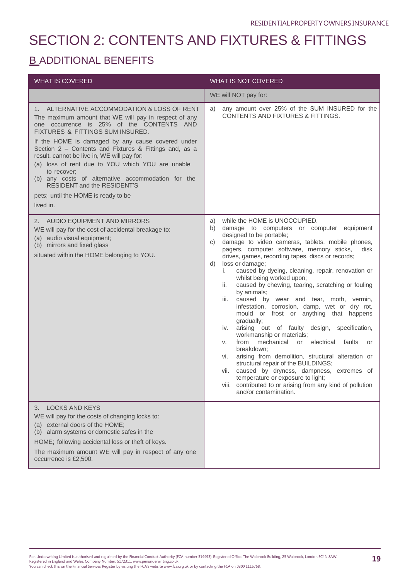## **B\_ADDITIONAL BENEFITS**

| <b>WHAT IS COVERED</b>                                                                                                                                                                                                                                                                                                                                                                                                                                                                                                                                                 | <b>WHAT IS NOT COVERED</b>                                                                                                                                                                                                                                                                                                                                                                                                                                                                                                                                                                                                                                                                                                                                                                                                                                                                                                                                                                                                                                                                 |
|------------------------------------------------------------------------------------------------------------------------------------------------------------------------------------------------------------------------------------------------------------------------------------------------------------------------------------------------------------------------------------------------------------------------------------------------------------------------------------------------------------------------------------------------------------------------|--------------------------------------------------------------------------------------------------------------------------------------------------------------------------------------------------------------------------------------------------------------------------------------------------------------------------------------------------------------------------------------------------------------------------------------------------------------------------------------------------------------------------------------------------------------------------------------------------------------------------------------------------------------------------------------------------------------------------------------------------------------------------------------------------------------------------------------------------------------------------------------------------------------------------------------------------------------------------------------------------------------------------------------------------------------------------------------------|
|                                                                                                                                                                                                                                                                                                                                                                                                                                                                                                                                                                        | WE will NOT pay for:                                                                                                                                                                                                                                                                                                                                                                                                                                                                                                                                                                                                                                                                                                                                                                                                                                                                                                                                                                                                                                                                       |
| 1. ALTERNATIVE ACCOMMODATION & LOSS OF RENT<br>The maximum amount that WE will pay in respect of any<br>one occurrence is 25% of the CONTENTS AND<br>FIXTURES & FITTINGS SUM INSURED.<br>If the HOME is damaged by any cause covered under<br>Section 2 - Contents and Fixtures & Fittings and, as a<br>result, cannot be live in, WE will pay for:<br>(a) loss of rent due to YOU which YOU are unable<br>to recover;<br>(b) any costs of alternative accommodation for the<br><b>RESIDENT and the RESIDENT'S</b><br>pets; until the HOME is ready to be<br>lived in. | any amount over 25% of the SUM INSURED for the<br>a)<br>CONTENTS AND FIXTURES & FITTINGS.                                                                                                                                                                                                                                                                                                                                                                                                                                                                                                                                                                                                                                                                                                                                                                                                                                                                                                                                                                                                  |
| 2. AUDIO EQUIPMENT AND MIRRORS<br>WE will pay for the cost of accidental breakage to:<br>(a) audio visual equipment;<br>(b) mirrors and fixed glass<br>situated within the HOME belonging to YOU.                                                                                                                                                                                                                                                                                                                                                                      | while the HOME is UNOCCUPIED.<br>a)<br>damage to computers or computer equipment<br>b)<br>designed to be portable;<br>damage to video cameras, tablets, mobile phones,<br>C)<br>pagers, computer software, memory sticks,<br>disk<br>drives, games, recording tapes, discs or records;<br>loss or damage;<br>d)<br>caused by dyeing, cleaning, repair, renovation or<br>i.<br>whilst being worked upon;<br>caused by chewing, tearing, scratching or fouling<br>ii.<br>by animals;<br>caused by wear and tear, moth, vermin,<br>iii.<br>infestation, corrosion, damp, wet or dry rot,<br>mould or frost or anything that happens<br>gradually;<br>arising out of faulty design, specification,<br>İV.<br>workmanship or materials;<br>from<br>mechanical or electrical faults<br>or<br>V.<br>breakdown;<br>arising from demolition, structural alteration or<br>VI.<br>structural repair of the BUILDINGS;<br>caused by dryness, dampness, extremes of<br>vii.<br>temperature or exposure to light;<br>viii. contributed to or arising from any kind of pollution<br>and/or contamination. |
| <b>LOCKS AND KEYS</b><br>3.<br>WE will pay for the costs of changing locks to:<br>(a) external doors of the HOME;<br>(b) alarm systems or domestic safes in the<br>HOME; following accidental loss or theft of keys.<br>The maximum amount WE will pay in respect of any one<br>occurrence is £2,500.                                                                                                                                                                                                                                                                  |                                                                                                                                                                                                                                                                                                                                                                                                                                                                                                                                                                                                                                                                                                                                                                                                                                                                                                                                                                                                                                                                                            |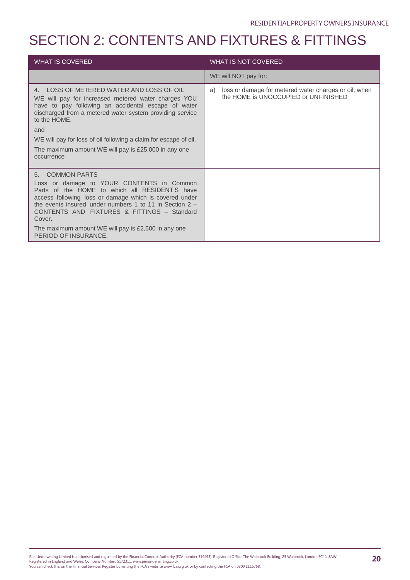| <b>WHAT IS COVERED</b>                                                                                                                                                                                                                                                                                                                                                              | <b>WHAT IS NOT COVERED</b>                                                                          |
|-------------------------------------------------------------------------------------------------------------------------------------------------------------------------------------------------------------------------------------------------------------------------------------------------------------------------------------------------------------------------------------|-----------------------------------------------------------------------------------------------------|
|                                                                                                                                                                                                                                                                                                                                                                                     | WE will NOT pay for:                                                                                |
| 4. LOSS OF METERED WATER AND LOSS OF OIL<br>WE will pay for increased metered water charges YOU<br>have to pay following an accidental escape of water<br>discharged from a metered water system providing service<br>to the HOME.<br>and<br>WE will pay for loss of oil following a claim for escape of oil.<br>The maximum amount WE will pay is £25,000 in any one<br>occurrence | loss or damage for metered water charges or oil, when<br>a)<br>the HOME is UNOCCUPIED or UNFINISHED |
| 5. COMMON PARTS<br>Loss or damage to YOUR CONTENTS in Common<br>Parts of the HOME to which all RESIDENT'S have<br>access following loss or damage which is covered under<br>the events insured under numbers 1 to 11 in Section $2 -$<br>CONTENTS AND FIXTURES & FITTINGS - Standard<br>Cover.<br>The maximum amount WE will pay is £2,500 in any one<br>PERIOD OF INSURANCE.       |                                                                                                     |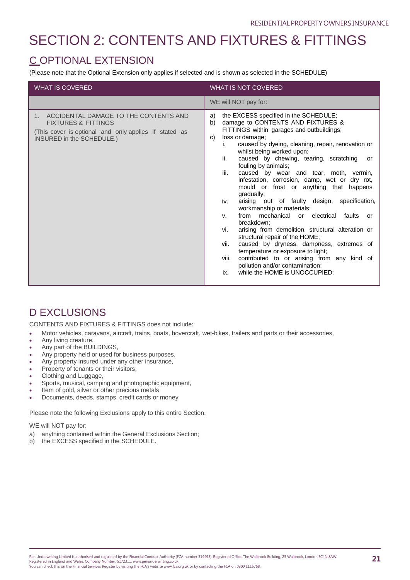## C OPTIONAL EXTENSION

(Please note that the Optional Extension only applies if selected and is shown as selected in the SCHEDULE)

| <b>WHAT IS COVERED</b>                                                                                                                                                          | <b>WHAT IS NOT COVERED</b>                                                                                                                                                                                                                                                                                                                                                                                                                                                                                                                                                                                                                                                                                                                                                                                                                                                                                                                                                       |
|---------------------------------------------------------------------------------------------------------------------------------------------------------------------------------|----------------------------------------------------------------------------------------------------------------------------------------------------------------------------------------------------------------------------------------------------------------------------------------------------------------------------------------------------------------------------------------------------------------------------------------------------------------------------------------------------------------------------------------------------------------------------------------------------------------------------------------------------------------------------------------------------------------------------------------------------------------------------------------------------------------------------------------------------------------------------------------------------------------------------------------------------------------------------------|
|                                                                                                                                                                                 | WE will NOT pay for:                                                                                                                                                                                                                                                                                                                                                                                                                                                                                                                                                                                                                                                                                                                                                                                                                                                                                                                                                             |
| ACCIDENTAL DAMAGE TO THE CONTENTS AND<br>1 <sup>1</sup><br><b>FIXTURES &amp; FITTINGS</b><br>(This cover is optional and only applies if stated as<br>INSURED in the SCHEDULE.) | the EXCESS specified in the SCHEDULE;<br>a)<br>damage to CONTENTS AND FIXTURES &<br>b)<br>FITTINGS within garages and outbuildings;<br>loss or damage;<br>C)<br>caused by dyeing, cleaning, repair, renovation or<br>i.<br>whilst being worked upon;<br>ii.<br>caused by chewing, tearing, scratching<br>or<br>fouling by animals;<br>iii.<br>caused by wear and tear, moth, vermin,<br>infestation, corrosion, damp, wet or dry rot,<br>mould or frost or anything that happens<br>gradually;<br>arising out of faulty design, specification,<br>iv.<br>workmanship or materials;<br>from mechanical or electrical<br>faults<br>V.<br>or<br>breakdown:<br>arising from demolition, structural alteration or<br>vi.<br>structural repair of the HOME;<br>caused by dryness, dampness, extremes of<br>vii.<br>temperature or exposure to light;<br>contributed to or arising from any kind of<br>viii.<br>pollution and/or contamination;<br>while the HOME is UNOCCUPIED;<br>ix. |

## D EXCLUSIONS

CONTENTS AND FIXTURES & FITTINGS does not include:

- Motor vehicles, caravans, aircraft, trains, boats, hovercraft, wet-bikes, trailers and parts or their accessories,
- Any living creature,
- Any part of the BUILDINGS,
- Any property held or used for business purposes,
- Any property insured under any other insurance,
- Property of tenants or their visitors,
- Clothing and Luggage,
- Sports, musical, camping and photographic equipment,
- Item of gold, silver or other precious metals
- Documents, deeds, stamps, credit cards or money

Please note the following Exclusions apply to this entire Section.

WE will NOT pay for:

- a) anything contained within the General Exclusions Section;
- b) the EXCESS specified in the SCHEDULE.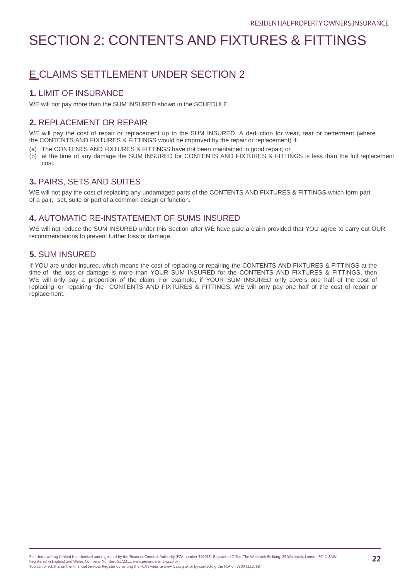## E CLAIMS SETTLEMENT UNDER SECTION 2

## **1.** LIMIT OF INSURANCE

WE will not pay more than the SUM INSURED shown in the SCHEDULE.

## **2.** REPLACEMENT OR REPAIR

WE will pay the cost of repair or replacement up to the SUM INSURED. A deduction for wear, tear or betterment (where the CONTENTS AND FIXTURES & FITTINGS would be improved by the repair or replacement) if:

- (a) The CONTENTS AND FIXTURES & FITTINGS have not been maintained in good repair; or
- (b) at the time of any damage the SUM INSURED for CONTENTS AND FIXTURES & FITTINGS is less than the full replacement cost.

## **3.** PAIRS, SETS AND SUITES

WE will not pay the cost of replacing any undamaged parts of the CONTENTS AND FIXTURES & FITTINGS which form part of a pair, set, suite or part of a common design or function.

## **4.** AUTOMATIC RE-INSTATEMENT OF SUMS INSURED

WE will not reduce the SUM INSURED under this Section after WE have paid a claim provided that YOU agree to carry out OUR recommendations to prevent further loss or damage.

## **5.** SUM INSURED

If YOU are under-insured, which means the cost of replacing or repairing the CONTENTS AND FIXTURES & FITTINGS at the time of the loss or damage is more than YOUR SUM INSURED for the CONTENTS AND FIXTURES & FITTINGS, then WE will only pay a proportion of the claim. For example, if YOUR SUM INSURED only covers one half of the cost of replacing or repairing the CONTENTS AND FIXTURES & FITTINGS, WE will only pay one half of the cost of repair or replacement.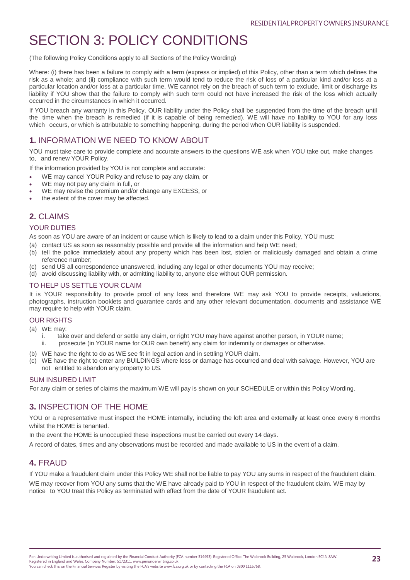## SECTION 3: POLICY CONDITIONS

(The following Policy Conditions apply to all Sections of the Policy Wording)

Where: (i) there has been a failure to comply with a term (express or implied) of this Policy, other than a term which defines the risk as a whole; and (ii) compliance with such term would tend to reduce the risk of loss of a particular kind and/or loss at a particular location and/or loss at a particular time, WE cannot rely on the breach of such term to exclude, limit or discharge its liability if YOU show that the failure to comply with such term could not have increased the risk of the loss which actually occurred in the circumstances in which it occurred.

If YOU breach any warranty in this Policy, OUR liability under the Policy shall be suspended from the time of the breach until the time when the breach is remedied (if it is capable of being remedied). WE will have no liability to YOU for any loss which occurs, or which is attributable to something happening, during the period when OUR liability is suspended.

## **1.** INFORMATION WE NEED TO KNOW ABOUT

YOU must take care to provide complete and accurate answers to the questions WE ask when YOU take out, make changes to, and renew YOUR Policy.

If the information provided by YOU is not complete and accurate:

- WE may cancel YOUR Policy and refuse to pay any claim, or
- WE may not pay any claim in full, or
- WE may revise the premium and/or change any EXCESS, or
- the extent of the cover may be affected.

## **2.** CLAIMS

#### YOUR DUTIES

As soon as YOU are aware of an incident or cause which is likely to lead to a claim under this Policy, YOU must:

- (a) contact US as soon as reasonably possible and provide all the information and help WE need;
- (b) tell the police immediately about any property which has been lost, stolen or maliciously damaged and obtain a crime reference number;
- (c) send US all correspondence unanswered, including any legal or other documents YOU may receive;
- (d) avoid discussing liability with, or admitting liability to, anyone else without OUR permission.

#### TO HELP US SETTLE YOUR CLAIM

It is YOUR responsibility to provide proof of any loss and therefore WE may ask YOU to provide receipts, valuations, photographs, instruction booklets and guarantee cards and any other relevant documentation, documents and assistance WE may require to help with YOUR claim.

#### OUR RIGHTS

(a) WE may:

- i. take over and defend or settle any claim, or right YOU may have against another person, in YOUR name;
- ii. prosecute (in YOUR name for OUR own benefit) any claim for indemnity or damages or otherwise.
- (b) WE have the right to do as WE see fit in legal action and in settling YOUR claim.
- (c) WE have the right to enter any BUILDINGS where loss or damage has occurred and deal with salvage. However, YOU are not entitled to abandon any property to US.

#### SUM INSURED LIMIT

For any claim or series of claims the maximum WE will pay is shown on your SCHEDULE or within this Policy Wording.

## **3.** INSPECTION OF THE HOME

YOU or a representative must inspect the HOME internally, including the loft area and externally at least once every 6 months whilst the HOME is tenanted.

In the event the HOME is unoccupied these inspections must be carried out every 14 days.

A record of dates, times and any observations must be recorded and made available to US in the event of a claim.

## **4.** FRAUD

If YOU make a fraudulent claim under this Policy WE shall not be liable to pay YOU any sums in respect of the fraudulent claim.

WE may recover from YOU any sums that the WE have already paid to YOU in respect of the fraudulent claim. WE may by notice to YOU treat this Policy as terminated with effect from the date of YOUR fraudulent act.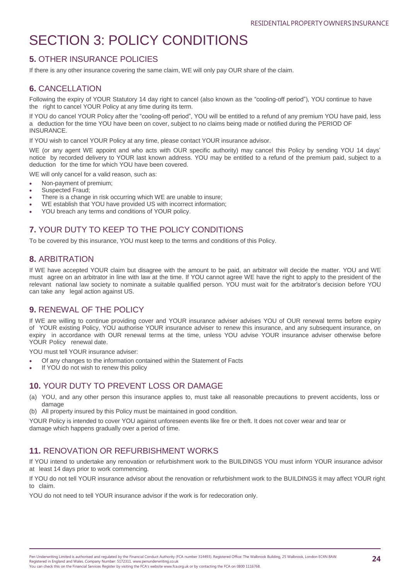## SECTION 3: POLICY CONDITIONS

## **5.** OTHER INSURANCE POLICIES

If there is any other insurance covering the same claim, WE will only pay OUR share of the claim.

### **6.** CANCELLATION

Following the expiry of YOUR Statutory 14 day right to cancel (also known as the "cooling-off period"), YOU continue to have the right to cancel YOUR Policy at any time during its term.

If YOU do cancel YOUR Policy after the "cooling-off period", YOU will be entitled to a refund of any premium YOU have paid, less a deduction for the time YOU have been on cover, subject to no claims being made or notified during the PERIOD OF INSURANCE.

If YOU wish to cancel YOUR Policy at any time, please contact YOUR insurance advisor.

WE (or any agent WE appoint and who acts with OUR specific authority) may cancel this Policy by sending YOU 14 days' notice by recorded delivery to YOUR last known address. YOU may be entitled to a refund of the premium paid, subject to a deduction for the time for which YOU have been covered.

WE will only cancel for a valid reason, such as:

- Non-payment of premium;
- Suspected Fraud;
- There is a change in risk occurring which WE are unable to insure;
- WE establish that YOU have provided US with incorrect information;
- YOU breach any terms and conditions of YOUR policy.

## **7.** YOUR DUTY TO KEEP TO THE POLICY CONDITIONS

To be covered by this insurance, YOU must keep to the terms and conditions of this Policy.

### **8.** ARBITRATION

If WE have accepted YOUR claim but disagree with the amount to be paid, an arbitrator will decide the matter. YOU and WE must agree on an arbitrator in line with law at the time. If YOU cannot agree WE have the right to apply to the president of the relevant national law society to nominate a suitable qualified person. YOU must wait for the arbitrator's decision before YOU can take any legal action against US.

## **9.** RENEWAL OF THE POLICY

If WE are willing to continue providing cover and YOUR insurance adviser advises YOU of OUR renewal terms before expiry of YOUR existing Policy, YOU authorise YOUR insurance adviser to renew this insurance, and any subsequent insurance, on expiry in accordance with OUR renewal terms at the time, unless YOU advise YOUR insurance adviser otherwise before YOUR Policy renewal date.

YOU must tell YOUR insurance adviser:

- Of any changes to the information contained within the Statement of Facts
- If YOU do not wish to renew this policy

### **10.** YOUR DUTY TO PREVENT LOSS OR DAMAGE

- (a) YOU, and any other person this insurance applies to, must take all reasonable precautions to prevent accidents, loss or damage
- (b) All property insured by this Policy must be maintained in good condition.

YOUR Policy is intended to cover YOU against unforeseen events like fire or theft. It does not cover wear and tear or damage which happens gradually over a period of time.

### **11.** RENOVATION OR REFURBISHMENT WORKS

If YOU intend to undertake any renovation or refurbishment work to the BUILDINGS YOU must inform YOUR insurance advisor at least 14 days prior to work commencing.

If YOU do not tell YOUR insurance advisor about the renovation or refurbishment work to the BUILDINGS it may affect YOUR right to claim.

YOU do not need to tell YOUR insurance advisor if the work is for redecoration only.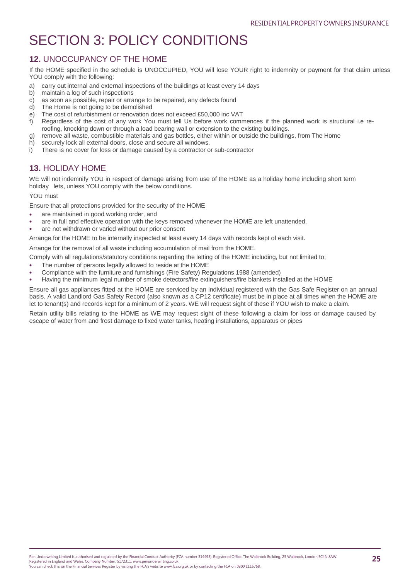## SECTION 3: POLICY CONDITIONS

## **12.** UNOCCUPANCY OF THE HOME

If the HOME specified in the schedule is UNOCCUPIED, YOU will lose YOUR right to indemnity or payment for that claim unless YOU comply with the following:

- a) carry out internal and external inspections of the buildings at least every 14 days
- b) maintain a log of such inspections
- c) as soon as possible, repair or arrange to be repaired, any defects found
- d) The Home is not going to be demolished
- e) The cost of refurbishment or renovation does not exceed £50,000 inc VAT
- f) Regardless of the cost of any work You must tell Us before work commences if the planned work is structural i.e reroofing, knocking down or through a load bearing wall or extension to the existing buildings.
- g) remove all waste, combustible materials and gas bottles, either within or outside the buildings, from The Home
- h) securely lock all external doors, close and secure all windows.
- i) There is no cover for loss or damage caused by a contractor or sub-contractor

## **13.** HOLIDAY HOME

WE will not indemnify YOU in respect of damage arising from use of the HOME as a holiday home including short term holiday lets, unless YOU comply with the below conditions.

#### YOU must

Ensure that all protections provided for the security of the HOME

- are maintained in good working order, and
- are in full and effective operation with the keys removed whenever the HOME are left unattended.
- are not withdrawn or varied without our prior consent

Arrange for the HOME to be internally inspected at least every 14 days with records kept of each visit.

Arrange for the removal of all waste including accumulation of mail from the HOME.

Comply with all regulations/statutory conditions regarding the letting of the HOME including, but not limited to;

- The number of persons legally allowed to reside at the HOME
- Compliance with the furniture and furnishings (Fire Safety) Regulations 1988 (amended)
- Having the minimum legal number of smoke detectors/fire extinguishers/fire blankets installed at the HOME

Ensure all gas appliances fitted at the HOME are serviced by an individual registered with the Gas Safe Register on an annual basis. A valid Landlord Gas Safety Record (also known as a CP12 certificate) must be in place at all times when the HOME are let to tenant(s) and records kept for a minimum of 2 years. WE will request sight of these if YOU wish to make a claim.

Retain utility bills relating to the HOME as WE may request sight of these following a claim for loss or damage caused by escape of water from and frost damage to fixed water tanks, heating installations, apparatus or pipes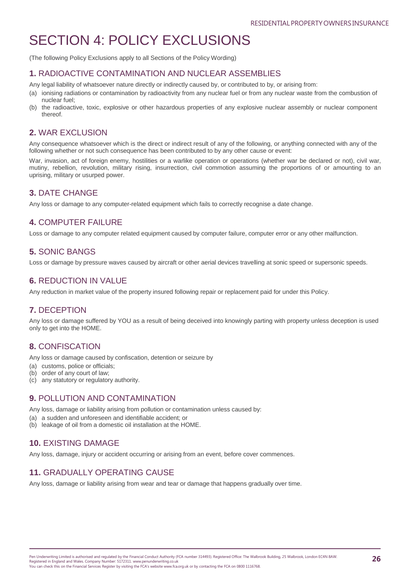## SECTION 4: POLICY EXCLUSIONS

(The following Policy Exclusions apply to all Sections of the Policy Wording)

### **1.** RADIOACTIVE CONTAMINATION AND NUCLEAR ASSEMBLIES

Any legal liability of whatsoever nature directly or indirectly caused by, or contributed to by, or arising from:

- (a) ionising radiations or contamination by radioactivity from any nuclear fuel or from any nuclear waste from the combustion of nuclear fuel;
- (b) the radioactive, toxic, explosive or other hazardous properties of any explosive nuclear assembly or nuclear component thereof.

## **2.** WAR EXCLUSION

Any consequence whatsoever which is the direct or indirect result of any of the following, or anything connected with any of the following whether or not such consequence has been contributed to by any other cause or event:

War, invasion, act of foreign enemy, hostilities or a warlike operation or operations (whether war be declared or not), civil war, mutiny, rebellion, revolution, military rising, insurrection, civil commotion assuming the proportions of or amounting to an uprising, military or usurped power.

## **3.** DATE CHANGE

Any loss or damage to any computer-related equipment which fails to correctly recognise a date change.

## **4.** COMPUTER FAILURE

Loss or damage to any computer related equipment caused by computer failure, computer error or any other malfunction.

### **5.** SONIC BANGS

Loss or damage by pressure waves caused by aircraft or other aerial devices travelling at sonic speed or supersonic speeds.

## **6.** REDUCTION IN VALUE

Any reduction in market value of the property insured following repair or replacement paid for under this Policy.

## **7.** DECEPTION

Any loss or damage suffered by YOU as a result of being deceived into knowingly parting with property unless deception is used only to get into the HOME.

## **8.** CONFISCATION

Any loss or damage caused by confiscation, detention or seizure by

- (a) customs, police or officials;
- (b) order of any court of law;
- (c) any statutory or regulatory authority.

## **9.** POLLUTION AND CONTAMINATION

Any loss, damage or liability arising from pollution or contamination unless caused by:

- (a) a sudden and unforeseen and identifiable accident; or
- (b) leakage of oil from a domestic oil installation at the HOME.

## **10.** EXISTING DAMAGE

Any loss, damage, injury or accident occurring or arising from an event, before cover commences.

## **11.** GRADUALLY OPERATING CAUSE

Any loss, damage or liability arising from wear and tear or damage that happens gradually over time.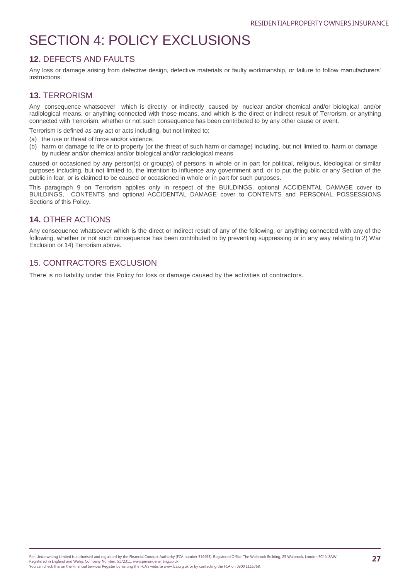## SECTION 4: POLICY EXCLUSIONS

### **12.** DEFECTS AND FAULTS

Any loss or damage arising from defective design, defective materials or faulty workmanship, or failure to follow manufacturers' instructions.

### **13.** TERRORISM

Any consequence whatsoever which is directly or indirectly caused by nuclear and/or chemical and/or biological and/or radiological means, or anything connected with those means, and which is the direct or indirect result of Terrorism, or anything connected with Terrorism, whether or not such consequence has been contributed to by any other cause or event.

Terrorism is defined as any act or acts including, but not limited to:

- (a) the use or threat of force and/or violence;
- (b) harm or damage to life or to property (or the threat of such harm or damage) including, but not limited to, harm or damage by nuclear and/or chemical and/or biological and/or radiological means

caused or occasioned by any person(s) or group(s) of persons in whole or in part for political, religious, ideological or similar purposes including, but not limited to, the intention to influence any government and, or to put the public or any Section of the public in fear, or is claimed to be caused or occasioned in whole or in part for such purposes.

This paragraph 9 on Terrorism applies only in respect of the BUILDINGS, optional ACCIDENTAL DAMAGE cover to BUILDINGS, CONTENTS and optional ACCIDENTAL DAMAGE cover to CONTENTS and PERSONAL POSSESSIONS Sections of this Policy.

### **14.** OTHER ACTIONS

Any consequence whatsoever which is the direct or indirect result of any of the following, or anything connected with any of the following, whether or not such consequence has been contributed to by preventing suppressing or in any way relating to 2) War Exclusion or 14) Terrorism above.

### 15. CONTRACTORS EXCLUSION

There is no liability under this Policy for loss or damage caused by the activities of contractors.